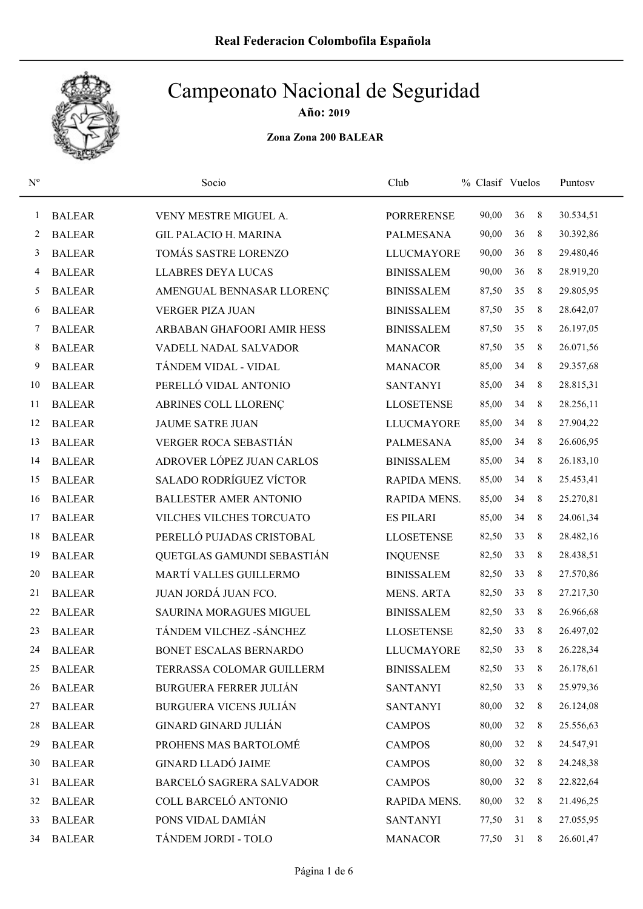

Año: 2019

| $N^{\rm o}$ |               | Socio                           | Club              | % Clasif Vuelos |    |         | Puntosv   |
|-------------|---------------|---------------------------------|-------------------|-----------------|----|---------|-----------|
| 1           | <b>BALEAR</b> | VENY MESTRE MIGUEL A.           | <b>PORRERENSE</b> | 90,00           | 36 | 8       | 30.534,51 |
| 2           | <b>BALEAR</b> | <b>GIL PALACIO H. MARINA</b>    | <b>PALMESANA</b>  | 90,00           | 36 | 8       | 30.392,86 |
| 3           | <b>BALEAR</b> | TOMÁS SASTRE LORENZO            | <b>LLUCMAYORE</b> | 90,00           | 36 | 8       | 29.480,46 |
| 4           | <b>BALEAR</b> | <b>LLABRES DEYA LUCAS</b>       | <b>BINISSALEM</b> | 90,00           | 36 | 8       | 28.919,20 |
| 5           | <b>BALEAR</b> | AMENGUAL BENNASAR LLORENÇ       | <b>BINISSALEM</b> | 87,50           | 35 | 8       | 29.805,95 |
| 6           | <b>BALEAR</b> | <b>VERGER PIZA JUAN</b>         | <b>BINISSALEM</b> | 87,50           | 35 | 8       | 28.642,07 |
| 7           | <b>BALEAR</b> | ARBABAN GHAFOORI AMIR HESS      | <b>BINISSALEM</b> | 87,50           | 35 | 8       | 26.197,05 |
| 8           | <b>BALEAR</b> | VADELL NADAL SALVADOR           | <b>MANACOR</b>    | 87,50           | 35 | 8       | 26.071,56 |
| 9           | <b>BALEAR</b> | TÁNDEM VIDAL - VIDAL            | <b>MANACOR</b>    | 85,00           | 34 | 8       | 29.357,68 |
| 10          | <b>BALEAR</b> | PERELLÓ VIDAL ANTONIO           | <b>SANTANYI</b>   | 85,00           | 34 | 8       | 28.815,31 |
| 11          | <b>BALEAR</b> | ABRINES COLL LLORENÇ            | <b>LLOSETENSE</b> | 85,00           | 34 | 8       | 28.256,11 |
| 12          | <b>BALEAR</b> | <b>JAUME SATRE JUAN</b>         | <b>LLUCMAYORE</b> | 85,00           | 34 | 8       | 27.904,22 |
| 13          | <b>BALEAR</b> | <b>VERGER ROCA SEBASTIÁN</b>    | <b>PALMESANA</b>  | 85,00           | 34 | 8       | 26.606,95 |
| 14          | <b>BALEAR</b> | ADROVER LÓPEZ JUAN CARLOS       | <b>BINISSALEM</b> | 85,00           | 34 | 8       | 26.183,10 |
| 15          | <b>BALEAR</b> | <b>SALADO RODRÍGUEZ VÍCTOR</b>  | RAPIDA MENS.      | 85,00           | 34 | 8       | 25.453,41 |
| 16          | <b>BALEAR</b> | <b>BALLESTER AMER ANTONIO</b>   | RAPIDA MENS.      | 85,00           | 34 | 8       | 25.270,81 |
| 17          | <b>BALEAR</b> | <b>VILCHES VILCHES TORCUATO</b> | <b>ES PILARI</b>  | 85,00           | 34 | $\,8\,$ | 24.061,34 |
| 18          | <b>BALEAR</b> | PERELLÓ PUJADAS CRISTOBAL       | <b>LLOSETENSE</b> | 82,50           | 33 | 8       | 28.482,16 |
| 19          | <b>BALEAR</b> | QUETGLAS GAMUNDI SEBASTIÁN      | <b>INQUENSE</b>   | 82,50           | 33 | 8       | 28.438,51 |
| 20          | <b>BALEAR</b> | MARTÍ VALLES GUILLERMO          | <b>BINISSALEM</b> | 82,50           | 33 | 8       | 27.570,86 |
| 21          | <b>BALEAR</b> | JUAN JORDÁ JUAN FCO.            | <b>MENS. ARTA</b> | 82,50           | 33 | 8       | 27.217,30 |
| 22          | <b>BALEAR</b> | <b>SAURINA MORAGUES MIGUEL</b>  | <b>BINISSALEM</b> | 82,50           | 33 | 8       | 26.966,68 |
| 23          | <b>BALEAR</b> | TÁNDEM VILCHEZ -SÁNCHEZ         | <b>LLOSETENSE</b> | 82,50           | 33 | 8       | 26.497,02 |
| 24          | <b>BALEAR</b> | <b>BONET ESCALAS BERNARDO</b>   | <b>LLUCMAYORE</b> | 82,50           | 33 | 8       | 26.228,34 |
| 25          | <b>BALEAR</b> | TERRASSA COLOMAR GUILLERM       | <b>BINISSALEM</b> | 82,50           | 33 | 8       | 26.178,61 |
| 26          | <b>BALEAR</b> | <b>BURGUERA FERRER JULIÁN</b>   | <b>SANTANYI</b>   | 82,50           | 33 | 8       | 25.979,36 |
| 27          | <b>BALEAR</b> | <b>BURGUERA VICENS JULIÁN</b>   | <b>SANTANYI</b>   | 80,00           | 32 | 8       | 26.124,08 |
| 28          | <b>BALEAR</b> | <b>GINARD GINARD JULIÁN</b>     | <b>CAMPOS</b>     | 80,00           | 32 | 8       | 25.556,63 |
| 29          | <b>BALEAR</b> | PROHENS MAS BARTOLOMÉ           | <b>CAMPOS</b>     | 80,00           | 32 | 8       | 24.547,91 |
| 30          | <b>BALEAR</b> | <b>GINARD LLADÓ JAIME</b>       | <b>CAMPOS</b>     | 80,00           | 32 | 8       | 24.248,38 |
| 31          | <b>BALEAR</b> | <b>BARCELÓ SAGRERA SALVADOR</b> | <b>CAMPOS</b>     | 80,00           | 32 | 8       | 22.822,64 |
| 32          | <b>BALEAR</b> | COLL BARCELÓ ANTONIO            | RAPIDA MENS.      | 80,00           | 32 | 8       | 21.496,25 |
| 33          | <b>BALEAR</b> | PONS VIDAL DAMIÁN               | <b>SANTANYI</b>   | 77,50           | 31 | 8       | 27.055,95 |
| 34          | <b>BALEAR</b> | TÁNDEM JORDI - TOLO             | <b>MANACOR</b>    | 77,50           | 31 | 8       | 26.601,47 |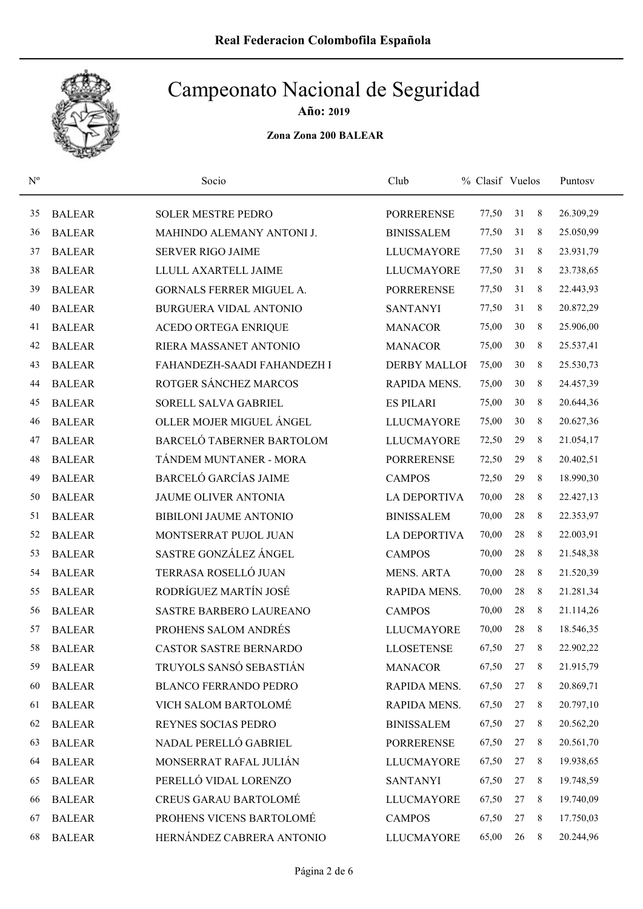

Año: 2019

| $\mathbf{N}^{\mathrm{o}}$ |               | Socio                           | Club                | % Clasif Vuelos |        |   | Puntosy   |
|---------------------------|---------------|---------------------------------|---------------------|-----------------|--------|---|-----------|
| 35                        | <b>BALEAR</b> | <b>SOLER MESTRE PEDRO</b>       | <b>PORRERENSE</b>   | 77,50           | 31     | 8 | 26.309,29 |
| 36                        | <b>BALEAR</b> | MAHINDO ALEMANY ANTONI J.       | <b>BINISSALEM</b>   | 77,50           | 31     | 8 | 25.050,99 |
| 37                        | <b>BALEAR</b> | <b>SERVER RIGO JAIME</b>        | <b>LLUCMAYORE</b>   | 77,50           | 31     | 8 | 23.931,79 |
| 38                        | <b>BALEAR</b> | LLULL AXARTELL JAIME            | <b>LLUCMAYORE</b>   | 77,50           | 31     | 8 | 23.738,65 |
| 39                        | <b>BALEAR</b> | <b>GORNALS FERRER MIGUEL A.</b> | <b>PORRERENSE</b>   | 77,50           | 31     | 8 | 22.443,93 |
| 40                        | <b>BALEAR</b> | <b>BURGUERA VIDAL ANTONIO</b>   | <b>SANTANYI</b>     | 77,50           | 31     | 8 | 20.872,29 |
| 41                        | <b>BALEAR</b> | ACEDO ORTEGA ENRIQUE            | <b>MANACOR</b>      | 75,00           | 30     | 8 | 25.906,00 |
| 42                        | <b>BALEAR</b> | RIERA MASSANET ANTONIO          | <b>MANACOR</b>      | 75,00           | 30     | 8 | 25.537,41 |
| 43                        | <b>BALEAR</b> | FAHANDEZH-SAADI FAHANDEZH I     | <b>DERBY MALLOI</b> | 75,00           | 30     | 8 | 25.530,73 |
| 44                        | <b>BALEAR</b> | ROTGER SÁNCHEZ MARCOS           | RAPIDA MENS.        | 75,00           | 30     | 8 | 24.457,39 |
| 45                        | <b>BALEAR</b> | SORELL SALVA GABRIEL            | <b>ES PILARI</b>    | 75,00           | 30     | 8 | 20.644,36 |
| 46                        | <b>BALEAR</b> | OLLER MOJER MIGUEL ÁNGEL        | <b>LLUCMAYORE</b>   | 75,00           | 30     | 8 | 20.627,36 |
| 47                        | <b>BALEAR</b> | BARCELÓ TABERNER BARTOLOM       | <b>LLUCMAYORE</b>   | 72,50           | 29     | 8 | 21.054,17 |
| 48                        | <b>BALEAR</b> | TÁNDEM MUNTANER - MORA          | <b>PORRERENSE</b>   | 72,50           | 29     | 8 | 20.402,51 |
| 49                        | <b>BALEAR</b> | <b>BARCELÓ GARCÍAS JAIME</b>    | <b>CAMPOS</b>       | 72,50           | 29     | 8 | 18.990,30 |
| 50                        | <b>BALEAR</b> | <b>JAUME OLIVER ANTONIA</b>     | <b>LA DEPORTIVA</b> | 70,00           | 28     | 8 | 22.427,13 |
| 51                        | <b>BALEAR</b> | <b>BIBILONI JAUME ANTONIO</b>   | <b>BINISSALEM</b>   | 70,00           | 28     | 8 | 22.353,97 |
| 52                        | <b>BALEAR</b> | MONTSERRAT PUJOL JUAN           | <b>LA DEPORTIVA</b> | 70,00           | 28     | 8 | 22.003,91 |
| 53                        | <b>BALEAR</b> | SASTRE GONZÁLEZ ÁNGEL           | <b>CAMPOS</b>       | 70,00           | 28     | 8 | 21.548,38 |
| 54                        | <b>BALEAR</b> | TERRASA ROSELLÓ JUAN            | <b>MENS. ARTA</b>   | 70,00           | 28     | 8 | 21.520,39 |
| 55                        | <b>BALEAR</b> | RODRÍGUEZ MARTÍN JOSÉ           | RAPIDA MENS.        | 70,00           | $28\,$ | 8 | 21.281,34 |
| 56                        | <b>BALEAR</b> | SASTRE BARBERO LAUREANO         | <b>CAMPOS</b>       | 70,00           | $28\,$ | 8 | 21.114,26 |
| 57                        | <b>BALEAR</b> | PROHENS SALOM ANDRÉS            | <b>LLUCMAYORE</b>   | 70,00           | 28     | 8 | 18.546,35 |
| 58                        | <b>BALEAR</b> | <b>CASTOR SASTRE BERNARDO</b>   | <b>LLOSETENSE</b>   | 67,50           | $27\,$ | 8 | 22.902,22 |
| 59                        | <b>BALEAR</b> | TRUYOLS SANSÓ SEBASTIÁN         | <b>MANACOR</b>      | 67,50           | 27     | 8 | 21.915,79 |
| 60                        | <b>BALEAR</b> | <b>BLANCO FERRANDO PEDRO</b>    | RAPIDA MENS.        | 67,50           | 27     | 8 | 20.869,71 |
| 61                        | <b>BALEAR</b> | VICH SALOM BARTOLOMÉ            | RAPIDA MENS.        | 67,50           | 27     | 8 | 20.797,10 |
| 62                        | <b>BALEAR</b> | REYNES SOCIAS PEDRO             | <b>BINISSALEM</b>   | 67,50           | 27     | 8 | 20.562,20 |
| 63                        | <b>BALEAR</b> | NADAL PERELLÓ GABRIEL           | <b>PORRERENSE</b>   | 67,50           | 27     | 8 | 20.561,70 |
| 64                        | <b>BALEAR</b> | MONSERRAT RAFAL JULIÁN          | <b>LLUCMAYORE</b>   | 67,50           | 27     | 8 | 19.938,65 |
| 65                        | <b>BALEAR</b> | PERELLÓ VIDAL LORENZO           | <b>SANTANYI</b>     | 67,50           | 27     | 8 | 19.748,59 |
| 66                        | <b>BALEAR</b> | <b>CREUS GARAU BARTOLOMÉ</b>    | <b>LLUCMAYORE</b>   | 67,50           | 27     | 8 | 19.740,09 |
| 67                        | <b>BALEAR</b> | PROHENS VICENS BARTOLOMÉ        | <b>CAMPOS</b>       | 67,50           | 27     | 8 | 17.750,03 |
| 68                        | <b>BALEAR</b> | HERNÁNDEZ CABRERA ANTONIO       | <b>LLUCMAYORE</b>   | 65,00           | 26     | 8 | 20.244,96 |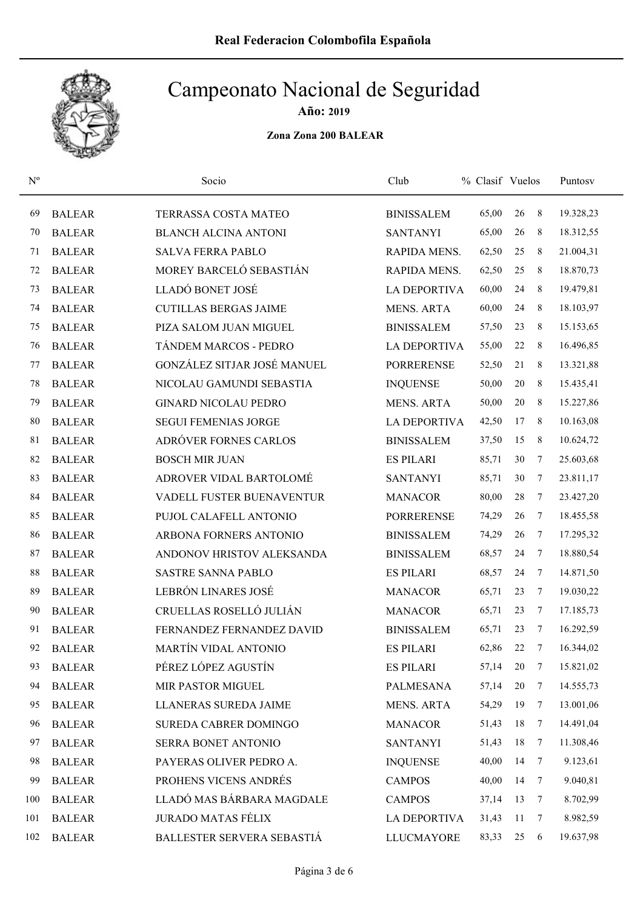

Año: 2019

| $N^{o}$ |               | Socio                        | Club                | % Clasif Vuelos |        |   | Puntosv   |
|---------|---------------|------------------------------|---------------------|-----------------|--------|---|-----------|
| 69      | <b>BALEAR</b> | <b>TERRASSA COSTA MATEO</b>  | <b>BINISSALEM</b>   | 65,00           | 26     | 8 | 19.328,23 |
| 70      | <b>BALEAR</b> | <b>BLANCH ALCINA ANTONI</b>  | <b>SANTANYI</b>     | 65,00           | 26     | 8 | 18.312,55 |
| 71      | <b>BALEAR</b> | <b>SALVA FERRA PABLO</b>     | <b>RAPIDA MENS.</b> | 62,50           | 25     | 8 | 21.004,31 |
| 72      | <b>BALEAR</b> | MOREY BARCELÓ SEBASTIÁN      | RAPIDA MENS.        | 62,50           | 25     | 8 | 18.870,73 |
| 73      | <b>BALEAR</b> | LLADÓ BONET JOSÉ             | <b>LA DEPORTIVA</b> | 60,00           | 24     | 8 | 19.479,81 |
| 74      | <b>BALEAR</b> | <b>CUTILLAS BERGAS JAIME</b> | <b>MENS. ARTA</b>   | 60,00           | 24     | 8 | 18.103,97 |
| 75      | <b>BALEAR</b> | PIZA SALOM JUAN MIGUEL       | <b>BINISSALEM</b>   | 57,50           | 23     | 8 | 15.153,65 |
| 76      | <b>BALEAR</b> | TÁNDEM MARCOS - PEDRO        | <b>LA DEPORTIVA</b> | 55,00           | 22     | 8 | 16.496,85 |
| 77      | <b>BALEAR</b> | GONZÁLEZ SITJAR JOSÉ MANUEL  | <b>PORRERENSE</b>   | 52,50           | 21     | 8 | 13.321,88 |
| 78      | <b>BALEAR</b> | NICOLAU GAMUNDI SEBASTIA     | <b>INQUENSE</b>     | 50,00           | 20     | 8 | 15.435,41 |
| 79      | <b>BALEAR</b> | <b>GINARD NICOLAU PEDRO</b>  | <b>MENS. ARTA</b>   | 50,00           | 20     | 8 | 15.227,86 |
| 80      | <b>BALEAR</b> | <b>SEGUI FEMENIAS JORGE</b>  | <b>LA DEPORTIVA</b> | 42,50           | 17     | 8 | 10.163,08 |
| 81      | <b>BALEAR</b> | ADRÓVER FORNES CARLOS        | <b>BINISSALEM</b>   | 37,50           | 15     | 8 | 10.624,72 |
| 82      | <b>BALEAR</b> | <b>BOSCH MIR JUAN</b>        | <b>ES PILARI</b>    | 85,71           | 30     | 7 | 25.603,68 |
| 83      | <b>BALEAR</b> | ADROVER VIDAL BARTOLOMÉ      | <b>SANTANYI</b>     | 85,71           | 30     | 7 | 23.811,17 |
| 84      | <b>BALEAR</b> | VADELL FUSTER BUENAVENTUR    | <b>MANACOR</b>      | 80,00           | 28     | 7 | 23.427,20 |
| 85      | <b>BALEAR</b> | PUJOL CALAFELL ANTONIO       | <b>PORRERENSE</b>   | 74,29           | 26     | 7 | 18.455,58 |
| 86      | <b>BALEAR</b> | ARBONA FORNERS ANTONIO       | <b>BINISSALEM</b>   | 74,29           | 26     | 7 | 17.295,32 |
| 87      | <b>BALEAR</b> | ANDONOV HRISTOV ALEKSANDA    | <b>BINISSALEM</b>   | 68,57           | 24     | 7 | 18.880,54 |
| 88      | <b>BALEAR</b> | <b>SASTRE SANNA PABLO</b>    | <b>ES PILARI</b>    | 68,57           | 24     | 7 | 14.871,50 |
| 89      | <b>BALEAR</b> | LEBRÓN LINARES JOSÉ          | <b>MANACOR</b>      | 65,71           | 23     | 7 | 19.030,22 |
| 90      | <b>BALEAR</b> | CRUELLAS ROSELLÓ JULIÁN      | <b>MANACOR</b>      | 65,71           | 23     | 7 | 17.185,73 |
| 91      | <b>BALEAR</b> | FERNANDEZ FERNANDEZ DAVID    | <b>BINISSALEM</b>   | 65,71           | 23     | 7 | 16.292,59 |
| 92      | <b>BALEAR</b> | <b>MARTÍN VIDAL ANTONIO</b>  | <b>ES PILARI</b>    | 62,86           | $22\,$ | 7 | 16.344,02 |
| 93      | <b>BALEAR</b> | PÉREZ LÓPEZ AGUSTÍN          | <b>ES PILARI</b>    | 57,14           | 20     | 7 | 15.821,02 |
| 94      | <b>BALEAR</b> | MIR PASTOR MIGUEL            | <b>PALMESANA</b>    | 57,14           | 20     | 7 | 14.555,73 |
| 95      | <b>BALEAR</b> | LLANERAS SUREDA JAIME        | <b>MENS. ARTA</b>   | 54,29           | 19     | 7 | 13.001,06 |
| 96      | <b>BALEAR</b> | SUREDA CABRER DOMINGO        | <b>MANACOR</b>      | 51,43           | 18     | 7 | 14.491,04 |
| 97      | <b>BALEAR</b> | SERRA BONET ANTONIO          | <b>SANTANYI</b>     | 51,43           | 18     | 7 | 11.308,46 |
| 98      | <b>BALEAR</b> | PAYERAS OLIVER PEDRO A.      | <b>INQUENSE</b>     | 40,00           | 14     | 7 | 9.123,61  |
| 99      | <b>BALEAR</b> | PROHENS VICENS ANDRÉS        | <b>CAMPOS</b>       | 40,00           | 14     | 7 | 9.040,81  |
| 100     | <b>BALEAR</b> | LLADÓ MAS BÁRBARA MAGDALE    | <b>CAMPOS</b>       | 37,14           | 13     | 7 | 8.702,99  |
| 101     | <b>BALEAR</b> | <b>JURADO MATAS FÉLIX</b>    | <b>LA DEPORTIVA</b> | 31,43           | 11     | 7 | 8.982,59  |
| 102     | <b>BALEAR</b> | BALLESTER SERVERA SEBASTIÁ   | <b>LLUCMAYORE</b>   | 83,33           | 25     | 6 | 19.637,98 |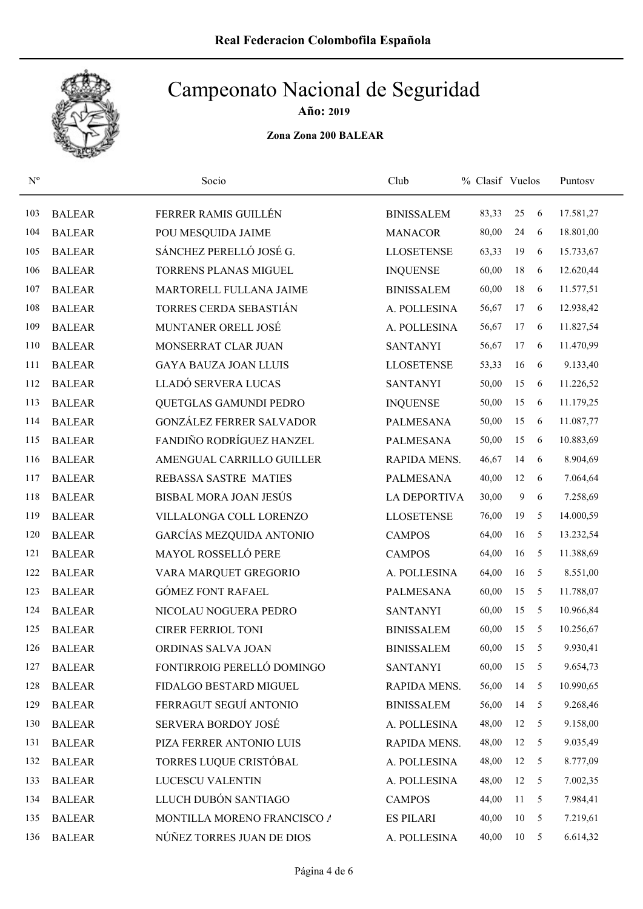

Año: 2019

| $\mathbf{N}^{\text{o}}$ |               | Socio                            | Club                | % Clasif Vuelos |    |   | Puntosy   |
|-------------------------|---------------|----------------------------------|---------------------|-----------------|----|---|-----------|
| 103                     | <b>BALEAR</b> | FERRER RAMIS GUILLÉN             | <b>BINISSALEM</b>   | 83,33           | 25 | 6 | 17.581,27 |
| 104                     | <b>BALEAR</b> | POU MESQUIDA JAIME               | <b>MANACOR</b>      | 80,00           | 24 | 6 | 18.801,00 |
| 105                     | <b>BALEAR</b> | SÁNCHEZ PERELLÓ JOSÉ G.          | <b>LLOSETENSE</b>   | 63,33           | 19 | 6 | 15.733,67 |
| 106                     | <b>BALEAR</b> | <b>TORRENS PLANAS MIGUEL</b>     | <b>INQUENSE</b>     | 60,00           | 18 | 6 | 12.620,44 |
| 107                     | <b>BALEAR</b> | MARTORELL FULLANA JAIME          | <b>BINISSALEM</b>   | 60,00           | 18 | 6 | 11.577,51 |
| 108                     | <b>BALEAR</b> | TORRES CERDA SEBASTIÁN           | A. POLLESINA        | 56,67           | 17 | 6 | 12.938,42 |
| 109                     | <b>BALEAR</b> | MUNTANER ORELL JOSÉ              | A. POLLESINA        | 56,67           | 17 | 6 | 11.827,54 |
| 110                     | <b>BALEAR</b> | MONSERRAT CLAR JUAN              | <b>SANTANYI</b>     | 56,67           | 17 | 6 | 11.470,99 |
| 111                     | <b>BALEAR</b> | <b>GAYA BAUZA JOAN LLUIS</b>     | <b>LLOSETENSE</b>   | 53,33           | 16 | 6 | 9.133,40  |
| 112                     | <b>BALEAR</b> | LLADÓ SERVERA LUCAS              | <b>SANTANYI</b>     | 50,00           | 15 | 6 | 11.226,52 |
| 113                     | <b>BALEAR</b> | QUETGLAS GAMUNDI PEDRO           | <b>INQUENSE</b>     | 50,00           | 15 | 6 | 11.179,25 |
| 114                     | <b>BALEAR</b> | <b>GONZÁLEZ FERRER SALVADOR</b>  | <b>PALMESANA</b>    | 50,00           | 15 | 6 | 11.087,77 |
| 115                     | <b>BALEAR</b> | FANDIÑO RODRÍGUEZ HANZEL         | <b>PALMESANA</b>    | 50,00           | 15 | 6 | 10.883,69 |
| 116                     | <b>BALEAR</b> | AMENGUAL CARRILLO GUILLER        | RAPIDA MENS.        | 46,67           | 14 | 6 | 8.904,69  |
| 117                     | <b>BALEAR</b> | <b>REBASSA SASTRE MATIES</b>     | <b>PALMESANA</b>    | 40,00           | 12 | 6 | 7.064,64  |
| 118                     | <b>BALEAR</b> | BISBAL MORA JOAN JESÚS           | <b>LA DEPORTIVA</b> | 30,00           | 9  | 6 | 7.258,69  |
| 119                     | <b>BALEAR</b> | VILLALONGA COLL LORENZO          | <b>LLOSETENSE</b>   | 76,00           | 19 | 5 | 14.000,59 |
| 120                     | <b>BALEAR</b> | GARCÍAS MEZQUIDA ANTONIO         | <b>CAMPOS</b>       | 64,00           | 16 | 5 | 13.232,54 |
| 121                     | <b>BALEAR</b> | <b>MAYOL ROSSELLÓ PERE</b>       | <b>CAMPOS</b>       | 64,00           | 16 | 5 | 11.388,69 |
| 122                     | <b>BALEAR</b> | VARA MARQUET GREGORIO            | A. POLLESINA        | 64,00           | 16 | 5 | 8.551,00  |
| 123                     | <b>BALEAR</b> | <b>GÓMEZ FONT RAFAEL</b>         | <b>PALMESANA</b>    | 60,00           | 15 | 5 | 11.788,07 |
| 124                     | <b>BALEAR</b> | NICOLAU NOGUERA PEDRO            | <b>SANTANYI</b>     | 60,00           | 15 | 5 | 10.966,84 |
| 125                     | <b>BALEAR</b> | <b>CIRER FERRIOL TONI</b>        | <b>BINISSALEM</b>   | 60,00           | 15 | 5 | 10.256,67 |
| 126                     | <b>BALEAR</b> | ORDINAS SALVA JOAN               | <b>BINISSALEM</b>   | 60,00           | 15 | 5 | 9.930,41  |
| 127                     | <b>BALEAR</b> | FONTIRROIG PERELLÓ DOMINGO       | <b>SANTANYI</b>     | 60,00           | 15 | 5 | 9.654,73  |
| 128                     | <b>BALEAR</b> | FIDALGO BESTARD MIGUEL           | RAPIDA MENS.        | 56,00           | 14 | 5 | 10.990,65 |
| 129                     | <b>BALEAR</b> | FERRAGUT SEGUÍ ANTONIO           | <b>BINISSALEM</b>   | 56,00           | 14 | 5 | 9.268,46  |
| 130                     | <b>BALEAR</b> | SERVERA BORDOY JOSÉ              | A. POLLESINA        | 48,00           | 12 | 5 | 9.158,00  |
| 131                     | <b>BALEAR</b> | PIZA FERRER ANTONIO LUIS         | RAPIDA MENS.        | 48,00           | 12 | 5 | 9.035,49  |
| 132                     | <b>BALEAR</b> | TORRES LUQUE CRISTÓBAL           | A. POLLESINA        | 48,00           | 12 | 5 | 8.777,09  |
| 133                     | <b>BALEAR</b> | <b>LUCESCU VALENTIN</b>          | A. POLLESINA        | 48,00           | 12 | 5 | 7.002,35  |
| 134                     | <b>BALEAR</b> | LLUCH DUBÓN SANTIAGO             | <b>CAMPOS</b>       | 44,00           | 11 | 5 | 7.984,41  |
| 135                     | <b>BALEAR</b> | MONTILLA MORENO FRANCISCO $\ell$ | <b>ES PILARI</b>    | 40,00           | 10 | 5 | 7.219,61  |
| 136                     | <b>BALEAR</b> | NÚÑEZ TORRES JUAN DE DIOS        | A. POLLESINA        | 40,00           | 10 | 5 | 6.614,32  |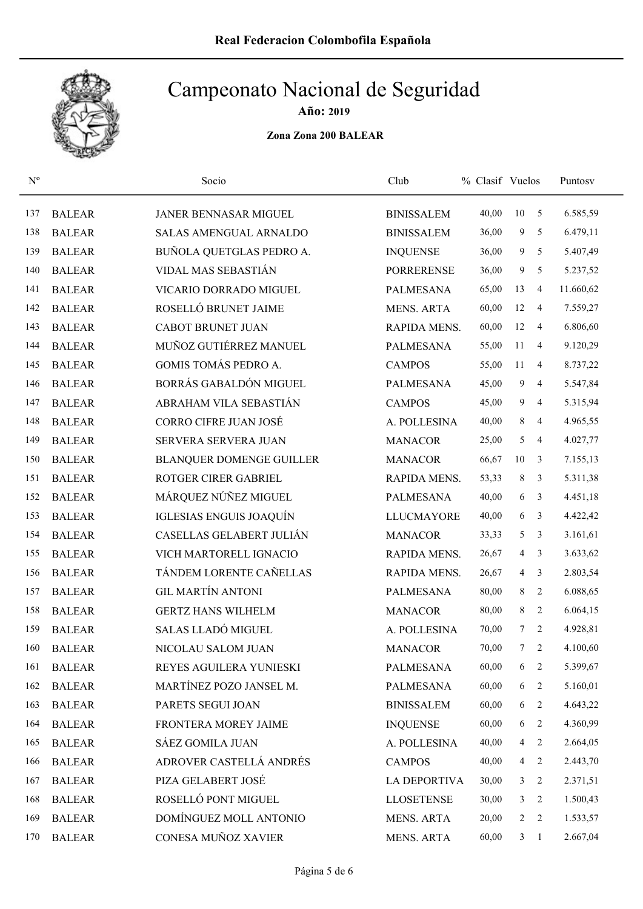

Año: 2019

| $\mathrm{N}^{\rm o}$ |               | Socio                     | Club                | % Clasif Vuelos |                 |                | Puntosv   |
|----------------------|---------------|---------------------------|---------------------|-----------------|-----------------|----------------|-----------|
| 137                  | <b>BALEAR</b> | JANER BENNASAR MIGUEL     | <b>BINISSALEM</b>   | 40,00           | 10              | 5              | 6.585,59  |
| 138                  | <b>BALEAR</b> | SALAS AMENGUAL ARNALDO    | <b>BINISSALEM</b>   | 36,00           | 9               | 5              | 6.479,11  |
| 139                  | <b>BALEAR</b> | BUÑOLA QUETGLAS PEDRO A.  | <b>INQUENSE</b>     | 36,00           | 9               | 5              | 5.407,49  |
| 140                  | <b>BALEAR</b> | VIDAL MAS SEBASTIÁN       | <b>PORRERENSE</b>   | 36,00           | 9               | 5              | 5.237,52  |
| 141                  | <b>BALEAR</b> | VICARIO DORRADO MIGUEL    | <b>PALMESANA</b>    | 65,00           | 13              | 4              | 11.660,62 |
| 142                  | <b>BALEAR</b> | ROSELLÓ BRUNET JAIME      | <b>MENS. ARTA</b>   | 60,00           | 12              | 4              | 7.559,27  |
| 143                  | <b>BALEAR</b> | <b>CABOT BRUNET JUAN</b>  | RAPIDA MENS.        | 60,00           | 12              | 4              | 6.806,60  |
| 144                  | <b>BALEAR</b> | MUÑOZ GUTIÉRREZ MANUEL    | <b>PALMESANA</b>    | 55,00           | 11              | 4              | 9.120,29  |
| 145                  | <b>BALEAR</b> | GOMIS TOMÁS PEDRO A.      | <b>CAMPOS</b>       | 55,00           | 11              | 4              | 8.737,22  |
| 146                  | <b>BALEAR</b> | BORRÁS GABALDÓN MIGUEL    | <b>PALMESANA</b>    | 45,00           | 9               | 4              | 5.547,84  |
| 147                  | <b>BALEAR</b> | ABRAHAM VILA SEBASTIÁN    | <b>CAMPOS</b>       | 45,00           | 9               | 4              | 5.315,94  |
| 148                  | <b>BALEAR</b> | CORRO CIFRE JUAN JOSÉ     | A. POLLESINA        | 40,00           | 8               | 4              | 4.965,55  |
| 149                  | <b>BALEAR</b> | SERVERA SERVERA JUAN      | <b>MANACOR</b>      | 25,00           | 5               | 4              | 4.027,77  |
| 150                  | <b>BALEAR</b> | BLANQUER DOMENGE GUILLER  | <b>MANACOR</b>      | 66,67           | $10\,$          | 3              | 7.155,13  |
| 151                  | <b>BALEAR</b> | ROTGER CIRER GABRIEL      | RAPIDA MENS.        | 53,33           | 8               | 3              | 5.311,38  |
| 152                  | <b>BALEAR</b> | MÁRQUEZ NÚÑEZ MIGUEL      | <b>PALMESANA</b>    | 40,00           | 6               | 3              | 4.451,18  |
| 153                  | <b>BALEAR</b> | IGLESIAS ENGUIS JOAQUÍN   | <b>LLUCMAYORE</b>   | 40,00           | 6               | 3              | 4.422,42  |
| 154                  | <b>BALEAR</b> | CASELLAS GELABERT JULIÁN  | <b>MANACOR</b>      | 33,33           | 5               | 3              | 3.161,61  |
| 155                  | <b>BALEAR</b> | VICH MARTORELL IGNACIO    | RAPIDA MENS.        | 26,67           | 4               | 3              | 3.633,62  |
| 156                  | <b>BALEAR</b> | TÁNDEM LORENTE CAÑELLAS   | RAPIDA MENS.        | 26,67           | 4               | 3              | 2.803,54  |
| 157                  | <b>BALEAR</b> | <b>GIL MARTÍN ANTONI</b>  | <b>PALMESANA</b>    | 80,00           | 8               | $\overline{c}$ | 6.088,65  |
| 158                  | <b>BALEAR</b> | <b>GERTZ HANS WILHELM</b> | <b>MANACOR</b>      | 80,00           | 8               | 2              | 6.064,15  |
| 159                  | <b>BALEAR</b> | SALAS LLADÓ MIGUEL        | A. POLLESINA        | 70,00           | $\tau$          | 2              | 4.928,81  |
| 160                  | <b>BALEAR</b> | NICOLAU SALOM JUAN        | <b>MANACOR</b>      | 70,00           | $7\overline{ }$ | $\overline{2}$ | 4.100,60  |
| 161                  | <b>BALEAR</b> | REYES AGUILERA YUNIESKI   | <b>PALMESANA</b>    | 60,00           | 6               | $\overline{2}$ | 5.399,67  |
| 162                  | <b>BALEAR</b> | MARTÍNEZ POZO JANSEL M.   | PALMESANA           | 60,00           | 6               | 2              | 5.160,01  |
| 163                  | <b>BALEAR</b> | PARETS SEGUI JOAN         | <b>BINISSALEM</b>   | 60,00           | 6               | 2              | 4.643,22  |
| 164                  | <b>BALEAR</b> | FRONTERA MOREY JAIME      | <b>INQUENSE</b>     | 60,00           | 6               | 2              | 4.360,99  |
| 165                  | <b>BALEAR</b> | SÁEZ GOMILA JUAN          | A. POLLESINA        | 40,00           | 4               | 2              | 2.664,05  |
| 166                  | <b>BALEAR</b> | ADROVER CASTELLÁ ANDRÉS   | <b>CAMPOS</b>       | 40,00           | $\overline{4}$  | 2              | 2.443,70  |
| 167                  | <b>BALEAR</b> | PIZA GELABERT JOSÉ        | <b>LA DEPORTIVA</b> | 30,00           | 3               | 2              | 2.371,51  |
| 168                  | <b>BALEAR</b> | ROSELLÓ PONT MIGUEL       | <b>LLOSETENSE</b>   | 30,00           | 3               | 2              | 1.500,43  |
| 169                  | <b>BALEAR</b> | DOMÍNGUEZ MOLL ANTONIO    | <b>MENS. ARTA</b>   | 20,00           | $\overline{2}$  | 2              | 1.533,57  |
| 170                  | <b>BALEAR</b> | CONESA MUÑOZ XAVIER       | MENS. ARTA          | 60,00           | $3 \quad 1$     |                | 2.667,04  |